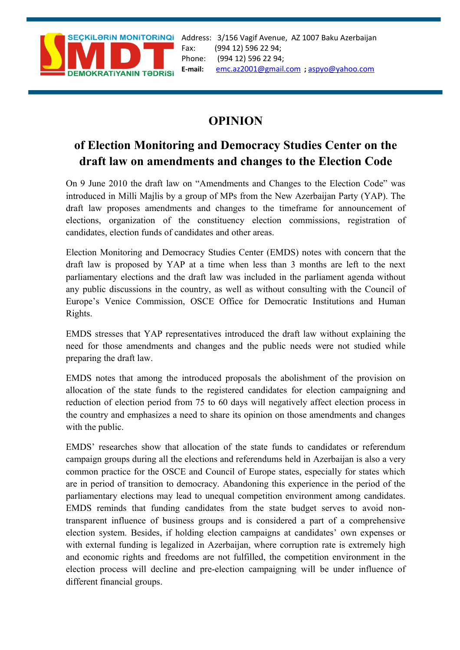

Address: 3/156 Vagif Avenue, AZ 1007 Baku Azerbaijan Fax: (994 12) 596 22 94; Phone: (994 12) 596 22 94; **E-mail:** [emc.az2001@gmail.com](mailto:emc.az2001@gmail.com) **;** [aspyo@yahoo.com](mailto:aspyo@yahoo.com)

## **OPINION**

## **of Election Monitoring and Democracy Studies Center on the draft law on amendments and changes to the Election Code**

On 9 June 2010 the draft law on "Amendments and Changes to the Election Code" was introduced in Milli Majlis by a group of MPs from the New Azerbaijan Party (YAP). The draft law proposes amendments and changes to the timeframe for announcement of elections, organization of the constituency election commissions, registration of candidates, election funds of candidates and other areas.

Election Monitoring and Democracy Studies Center (EMDS) notes with concern that the draft law is proposed by YAP at a time when less than 3 months are left to the next parliamentary elections and the draft law was included in the parliament agenda without any public discussions in the country, as well as without consulting with the Council of Europe's Venice Commission, OSCE Office for Democratic Institutions and Human Rights.

EMDS stresses that YAP representatives introduced the draft law without explaining the need for those amendments and changes and the public needs were not studied while preparing the draft law.

EMDS notes that among the introduced proposals the abolishment of the provision on allocation of the state funds to the registered candidates for election campaigning and reduction of election period from 75 to 60 days will negatively affect election process in the country and emphasizes a need to share its opinion on those amendments and changes with the public.

EMDS' researches show that allocation of the state funds to candidates or referendum campaign groups during all the elections and referendums held in Azerbaijan is also a very common practice for the OSCE and Council of Europe states, especially for states which are in period of transition to democracy. Abandoning this experience in the period of the parliamentary elections may lead to unequal competition environment among candidates. EMDS reminds that funding candidates from the state budget serves to avoid nontransparent influence of business groups and is considered a part of a comprehensive election system. Besides, if holding election campaigns at candidates' own expenses or with external funding is legalized in Azerbaijan, where corruption rate is extremely high and economic rights and freedoms are not fulfilled, the competition environment in the election process will decline and pre-election campaigning will be under influence of different financial groups.